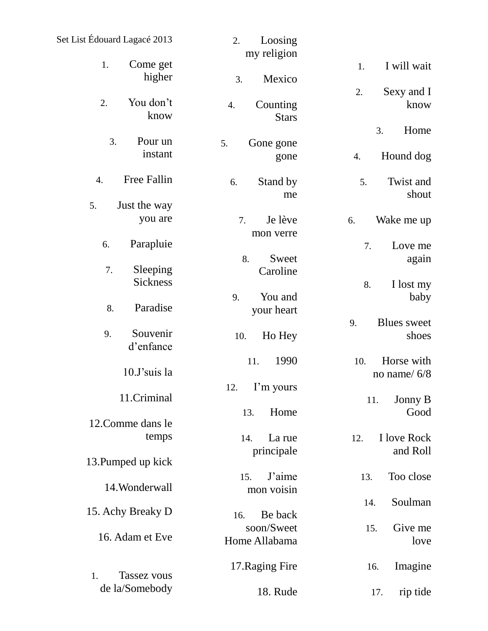| Set List Édouard Lagacé 2013 | Loosing<br>2.<br>my religion   |                                   |
|------------------------------|--------------------------------|-----------------------------------|
| Come get<br>1.<br>higher     | Mexico<br>3.                   | I will wait<br>1.                 |
| You don't<br>2.<br>know      | Counting<br>4.<br><b>Stars</b> | Sexy and I<br>2.<br>know          |
| 3.<br>Pour un                | 5.<br>Gone gone                | Home<br>3.                        |
| instant                      | gone                           | Hound dog<br>4.                   |
| Free Fallin<br>4.            | Stand by<br>6.<br>me           | Twist and<br>5.<br>shout          |
| 5.<br>Just the way           |                                |                                   |
| you are                      | Je lève<br>7.<br>mon verre     | 6.<br>Wake me up                  |
| Parapluie<br>6.              |                                | 7.<br>Love me                     |
| Sleeping<br>7.               | Sweet<br>8.<br>Caroline        | again                             |
| Sickness                     |                                | 8.<br>I lost my                   |
| Paradise<br>8.               | 9.<br>You and<br>your heart    | baby                              |
| Souvenir                     |                                | <b>Blues</b> sweet<br>9.          |
| 9.<br>d'enfance              | Ho Hey<br>10.                  | shoes                             |
| 10.J'suis la                 | 1990<br>11.                    | Horse with<br>10.<br>no name/ 6/8 |
|                              | I'm yours<br>12.               |                                   |
| 11.Criminal                  |                                | Jonny B<br>11.<br>Good            |
| 12. Comme dans le            | Home<br>13.                    |                                   |
| temps                        | La rue<br>14.<br>principale    | I love Rock<br>12.<br>and Roll    |
| 13. Pumped up kick           |                                |                                   |
|                              | J'aime<br>15.                  | Too close<br>13.                  |
| 14. Wonderwall               | mon voisin                     | Soulman<br>14.                    |
| 15. Achy Breaky D            | Be back<br>16.                 |                                   |
| 16. Adam et Eve              | soon/Sweet<br>Home Allabama    | Give me<br>15.<br>love            |
|                              |                                |                                   |
| Tassez vous<br>1.            | 17. Raging Fire                | Imagine<br>16.                    |